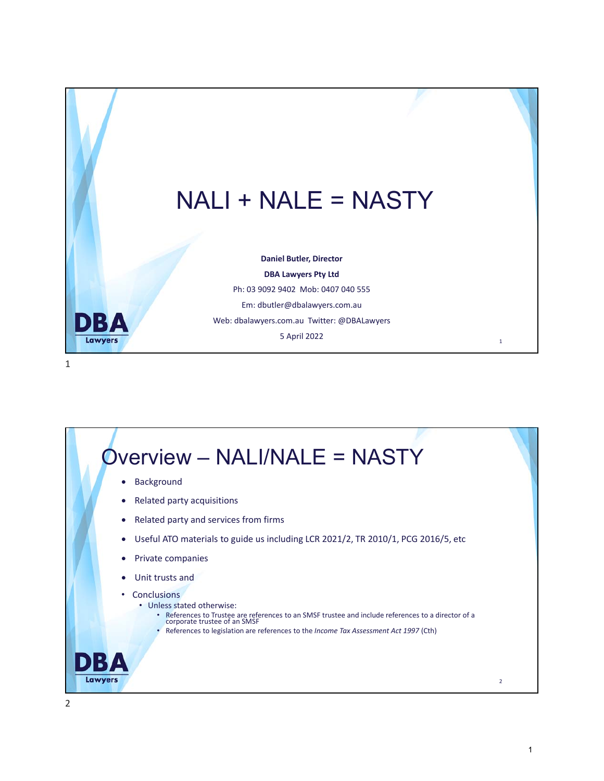

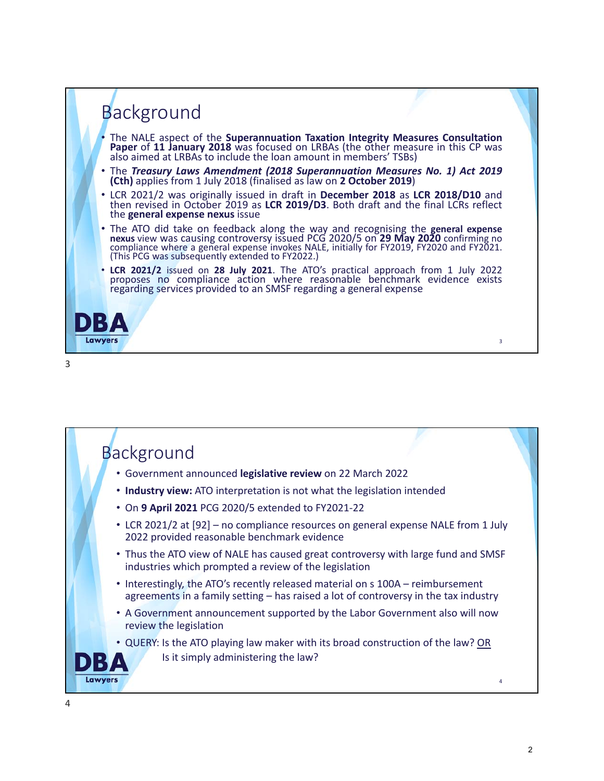

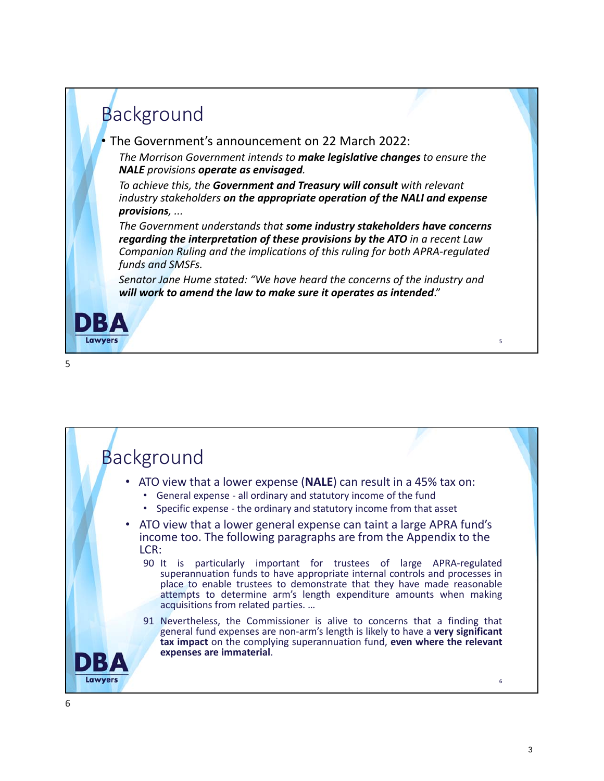#### **Background** • The Government's announcement on 22 March 2022: *The Morrison Government intends to make legislative changes to ensure the NALE provisions operate as envisaged. To achieve this, the Government and Treasury will consult with relevant industry stakeholders on the appropriate operation of the NALI and expense provisions, ... The Government understands that some industry stakeholders have concerns regarding the interpretation of these provisions by the ATO in a recent Law Companion Ruling and the implications of this ruling for both APRA‐regulated funds and SMSFs. Senator Jane Hume stated: "We have heard the concerns of the industry and will work to amend the law to make sure it operates as intended*."



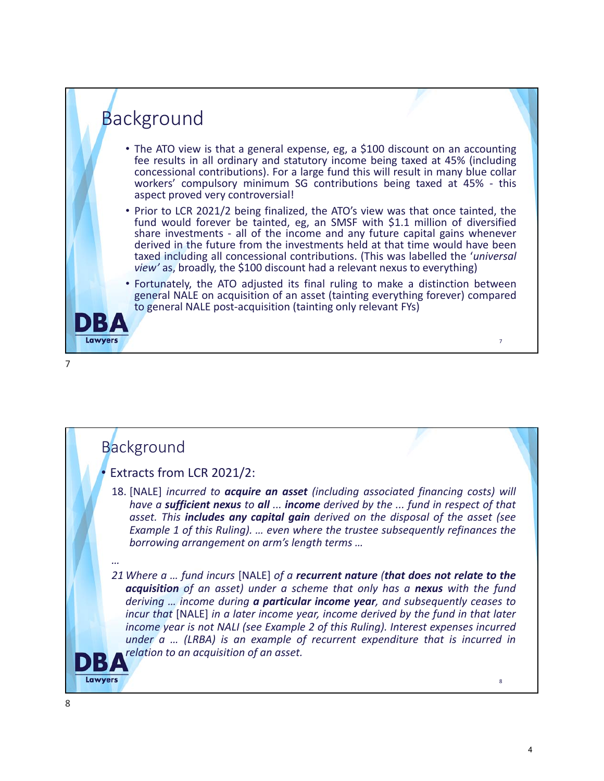

### **Background**

#### • Extracts from LCR 2021/2:

18. [NALE] *incurred to acquire an asset (including associated financing costs) will have a sufficient nexus to all ... income derived by the ... fund in respect of that asset. This includes any capital gain derived on the disposal of the asset (see Example 1 of this Ruling). … even where the trustee subsequently refinances the borrowing arrangement on arm's length terms …*

*…*

*21 Where a … fund incurs* [NALE] *of a recurrent nature (that does not relate to the acquisition of an asset) under a scheme that only has a nexus with the fund deriving … income during a particular income year, and subsequently ceases to incur that* [NALE] *in a later income year, income derived by the fund in that later income year is not NALI (see Example 2 of this Ruling). Interest expenses incurred under a … (LRBA) is an example of recurrent expenditure that is incurred in relation to an acquisition of an asset.*

DIX **Lawyers**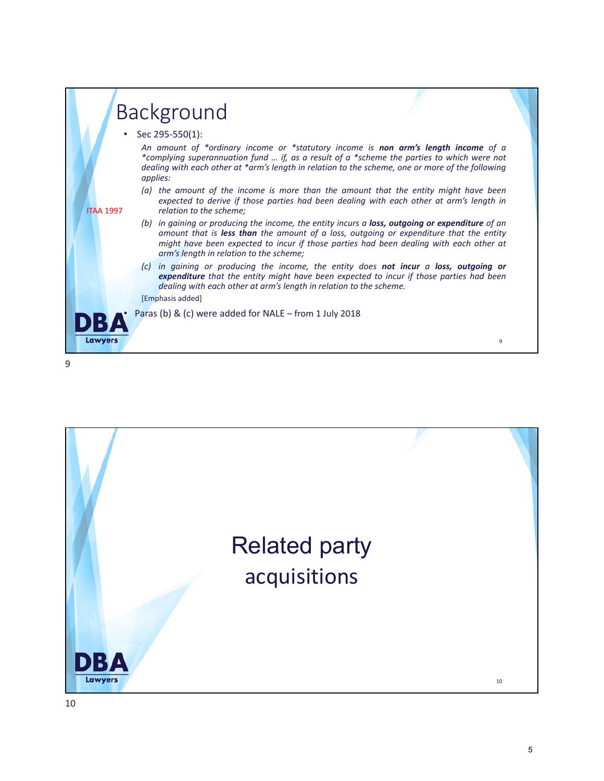|                  |                                                                                                                | <b>Background</b>                                                                                                                                                                                                                                                                                                                     |  |
|------------------|----------------------------------------------------------------------------------------------------------------|---------------------------------------------------------------------------------------------------------------------------------------------------------------------------------------------------------------------------------------------------------------------------------------------------------------------------------------|--|
|                  | • Sec 295-550(1):<br>An amount of *ordinary income or *statutory income is <b>non arm's length income</b> of a |                                                                                                                                                                                                                                                                                                                                       |  |
|                  |                                                                                                                | *complying superannuation fund  if, as a result of a *scheme the parties to which were not<br>dealing with each other at *arm's length in relation to the scheme, one or more of the following<br>applies:                                                                                                                            |  |
| <b>ITAA 1997</b> |                                                                                                                | (a) the amount of the income is more than the amount that the entity might have been<br>expected to derive if those parties had been dealing with each other at arm's length in<br>relation to the scheme;                                                                                                                            |  |
|                  |                                                                                                                | (b) in gaining or producing the income, the entity incurs a <b>loss, outgoing or expenditure</b> of an<br>amount that is less than the amount of a loss, outgoing or expenditure that the entity<br>might have been expected to incur if those parties had been dealing with each other at<br>arm's length in relation to the scheme; |  |
|                  | $\left( c\right)$                                                                                              | in gaining or producing the income, the entity does <b>not incur</b> a <b>loss, outgoing or</b><br>expenditure that the entity might have been expected to incur if those parties had been<br>dealing with each other at arm's length in relation to the scheme.<br>[Emphasis added]                                                  |  |
|                  |                                                                                                                | Paras (b) & (c) were added for NALE - from 1 July 2018                                                                                                                                                                                                                                                                                |  |
| Lawyers          |                                                                                                                | 9                                                                                                                                                                                                                                                                                                                                     |  |

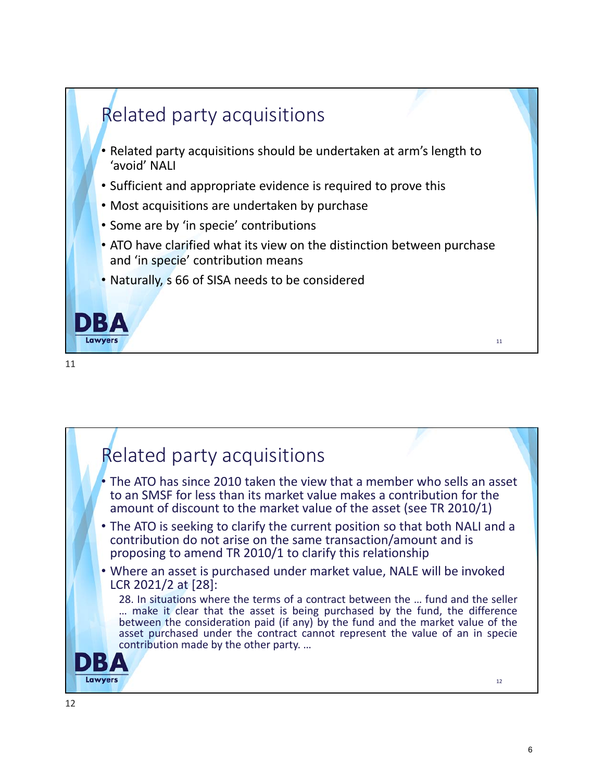

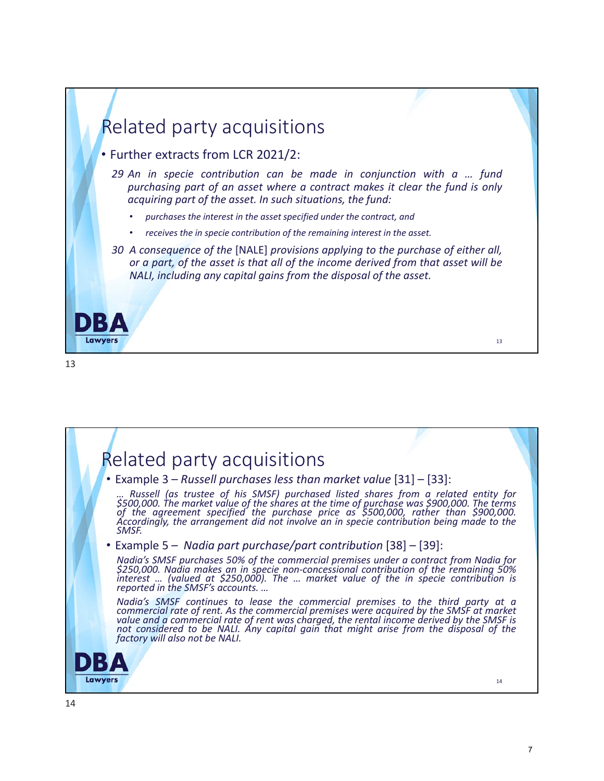

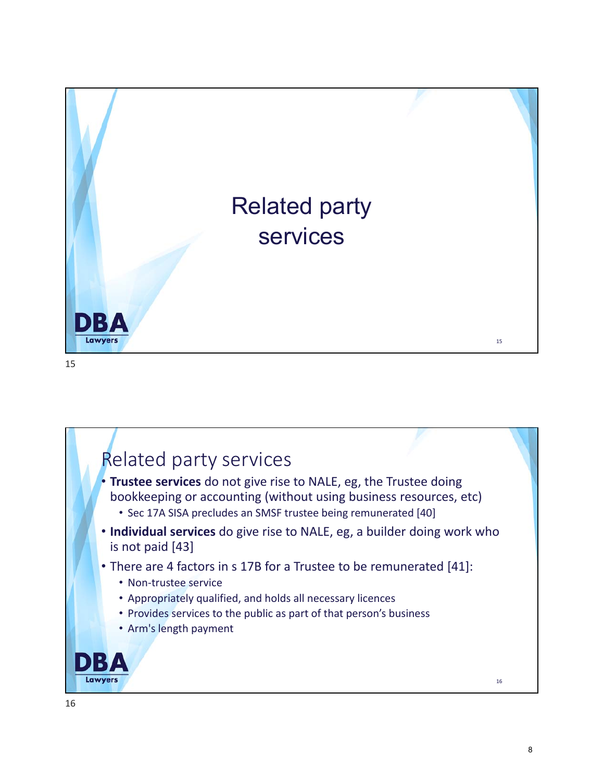

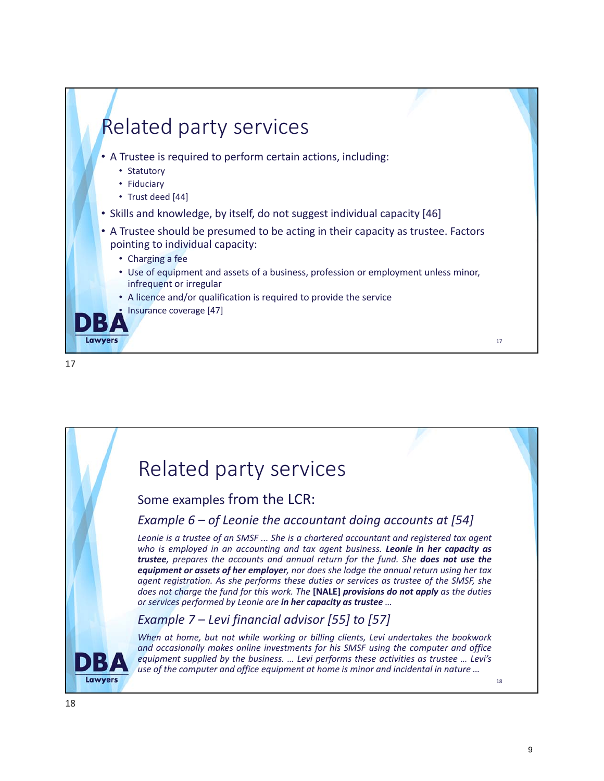

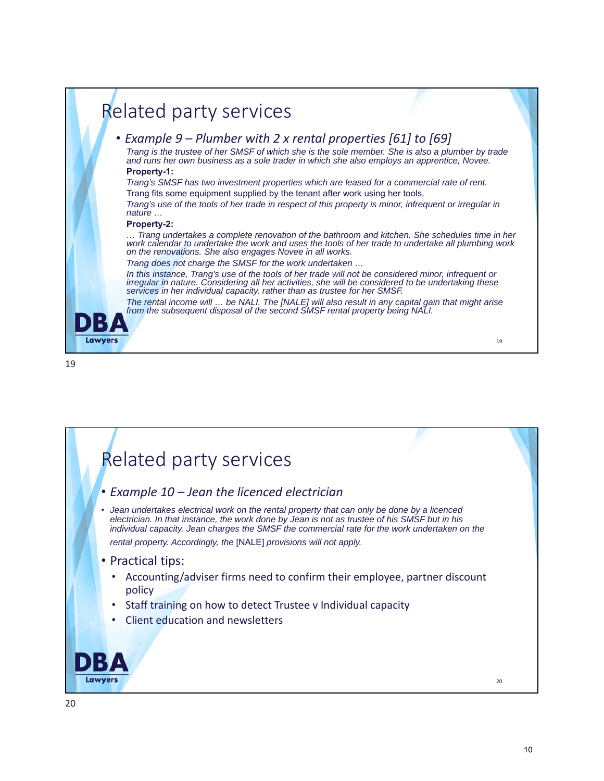

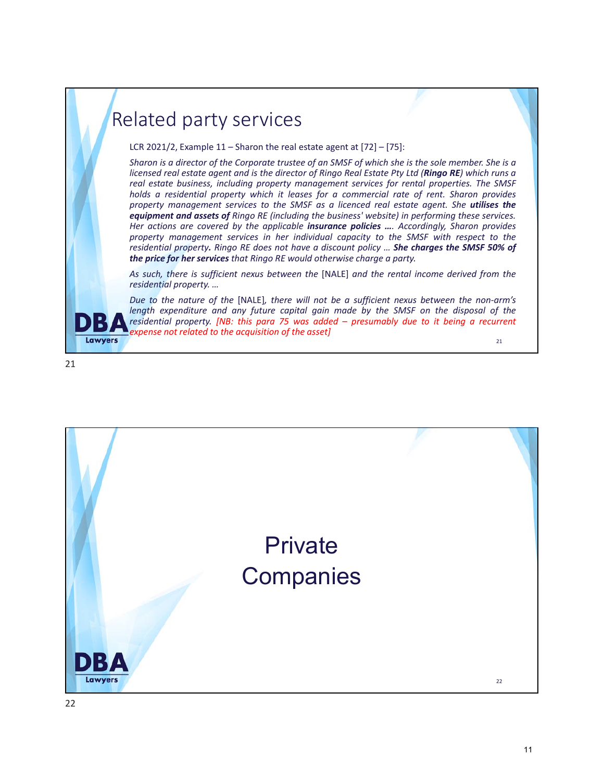## Related party services

LCR 2021/2, Example 11 *–* Sharon the real estate agent at [72] – [75]:

*Sharon is a director of the Corporate trustee of an SMSF of which she is the sole member. She is a licensed real estate agent and is the director of Ringo Real Estate Pty Ltd (Ringo RE) which runs a real estate business, including property management services for rental properties. The SMSF holds a residential property which it leases for a commercial rate of rent. Sharon provides property management services to the SMSF as a licenced real estate agent. She utilises the equipment and assets of Ringo RE (including the business' website) in performing these services. Her actions are covered by the applicable insurance policies …. Accordingly, Sharon provides property management services in her individual capacity to the SMSF with respect to the residential property. Ringo RE does not have a discount policy … She charges the SMSF 50% of the price for her services that Ringo RE would otherwise charge a party.*

*As such, there is sufficient nexus between the* [NALE] *and the rental income derived from the residential property. …*

*Due to the nature of the* [NALE]*, there will not be a sufficient nexus between the non‐arm's length expenditure and any future capital gain made by the SMSF on the disposal of the residential property. [NB: this para 75 was added – presumably due to it being a recurrent expense not related to the acquisition of the asset]*  $21$ 



**Lawyers** 

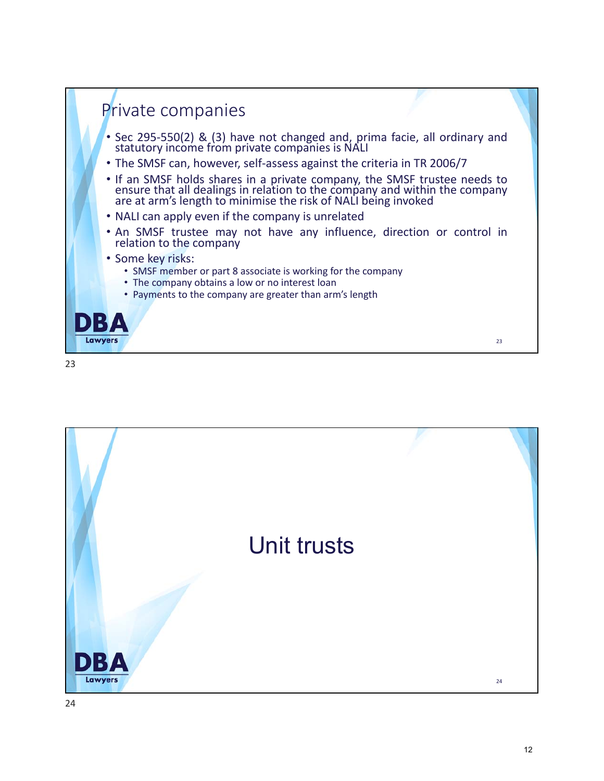

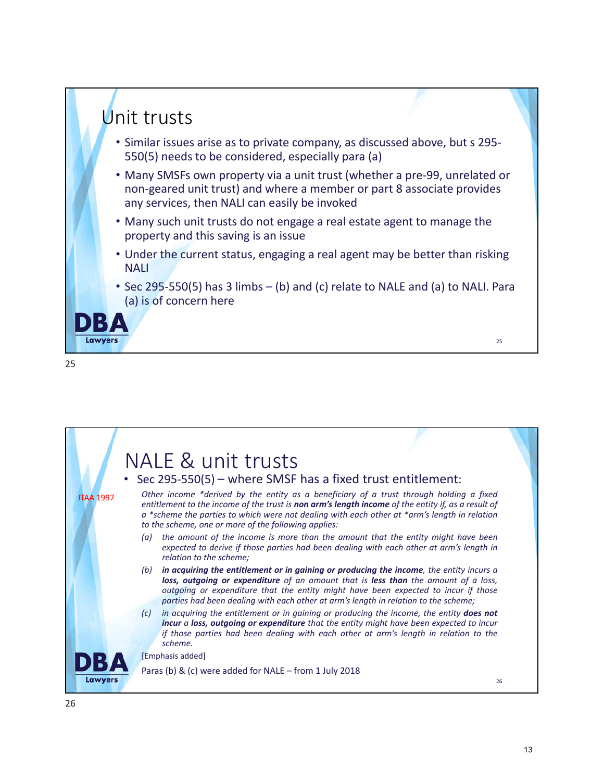

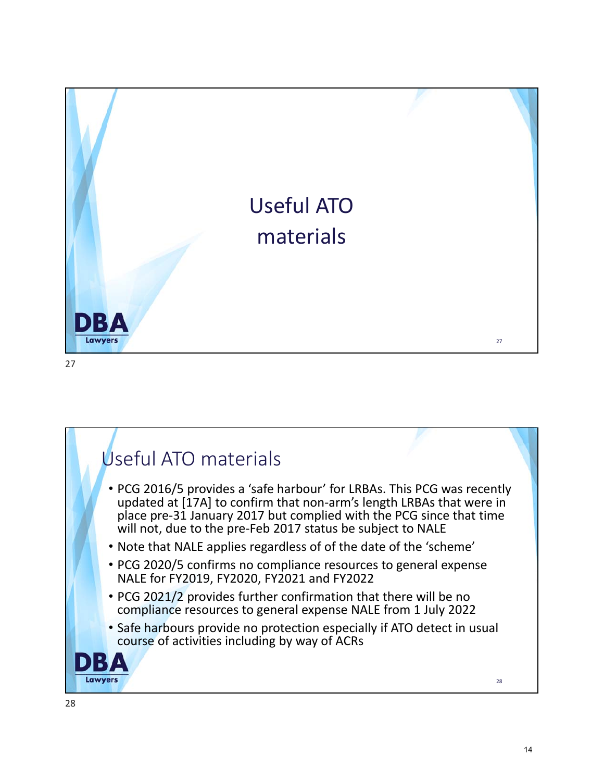

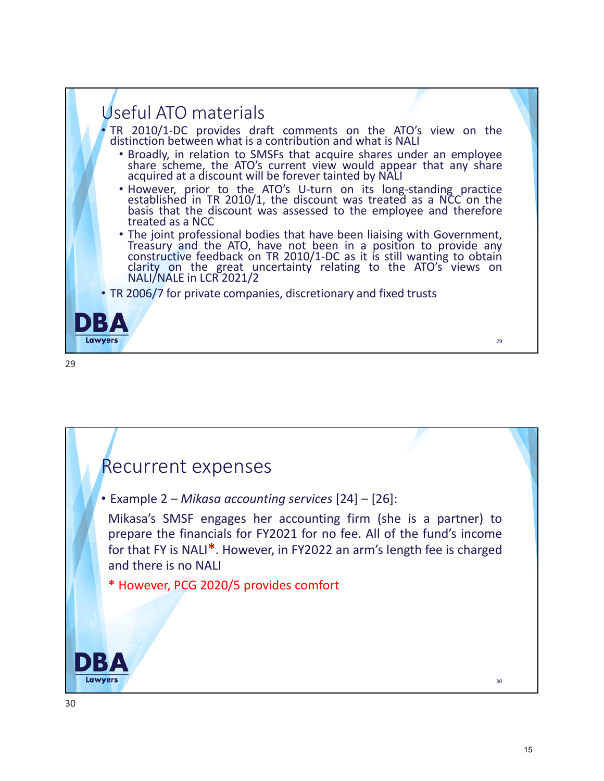

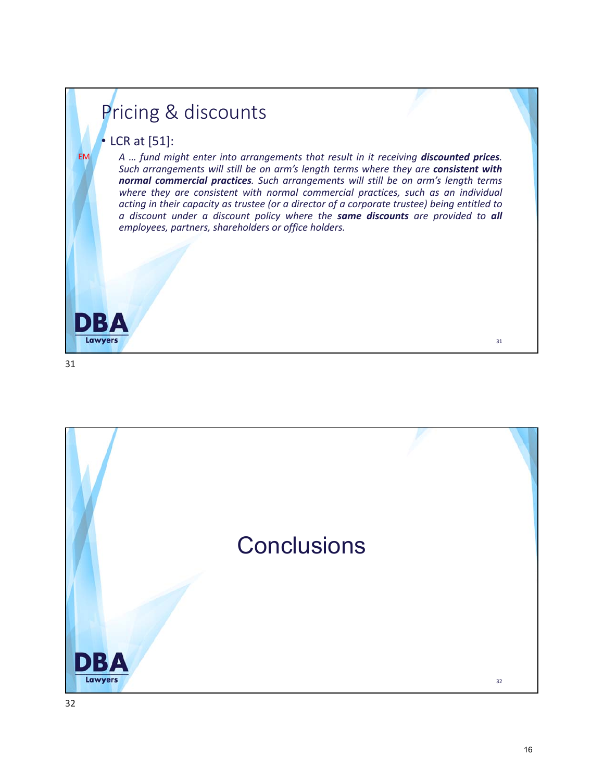# Pricing & discounts

#### • LCR at [51]:

*A … fund might enter into arrangements that result in it receiving discounted prices. Such arrangements will still be on arm's length terms where they are consistent with normal commercial practices. Such arrangements will still be on arm's length terms where they are consistent with normal commercial practices, such as an individual acting in their capacity as trustee (or a director of a corporate trustee) being entitled to a discount under a discount policy where the same discounts are provided to all employees, partners, shareholders or office holders.*

31

D

**Lawyers** 

EM

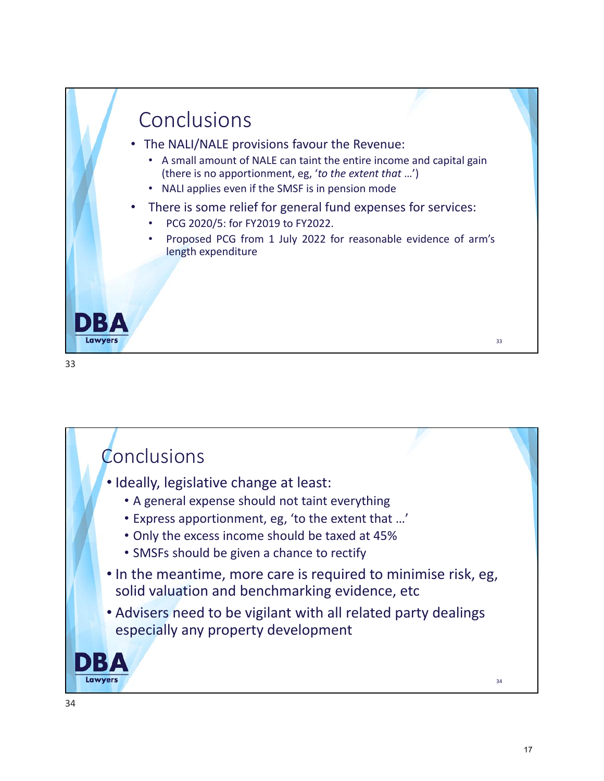

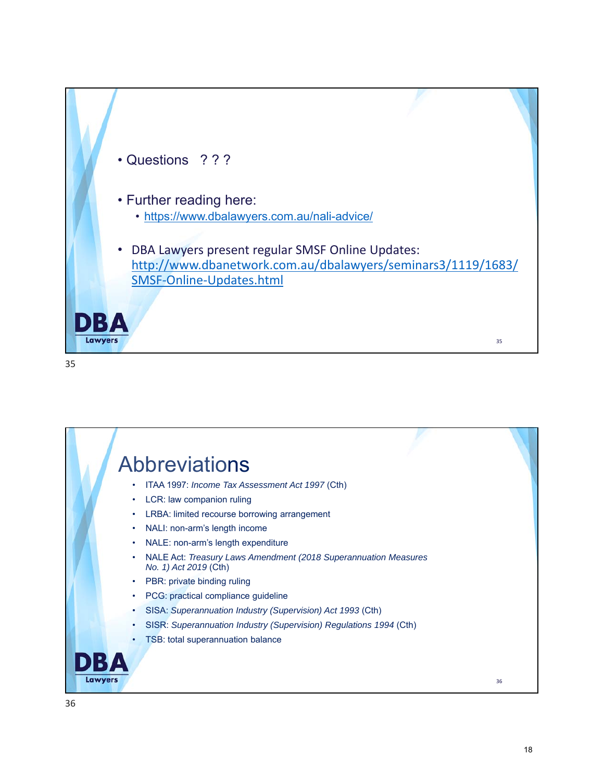